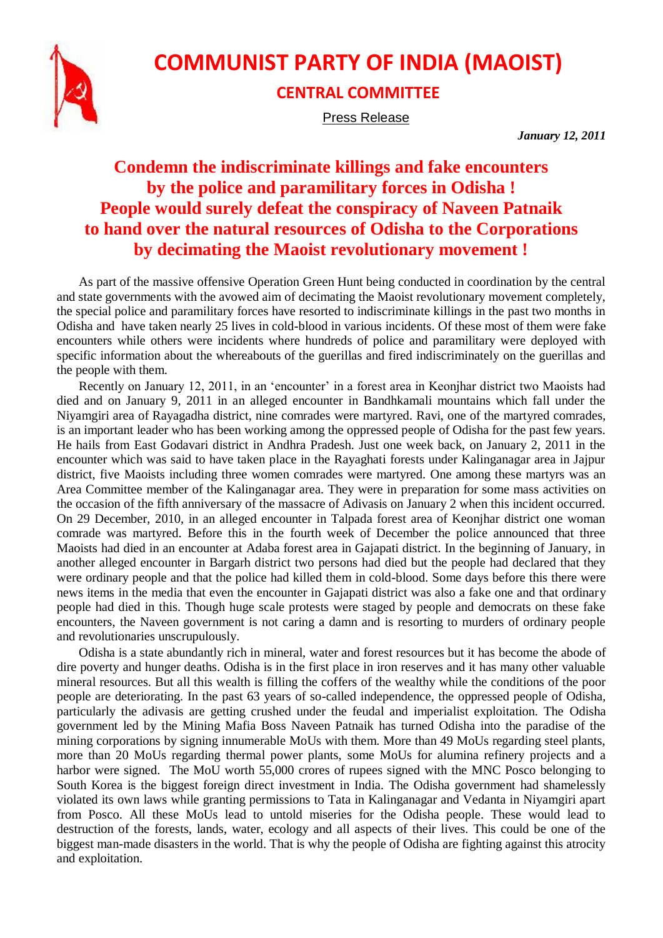

## **COMMUNIST PARTY OF INDIA (MAOIST)**

## **CENTRAL COMMITTEE**

Press Release

*January 12, 2011*

## **Condemn the indiscriminate killings and fake encounters by the police and paramilitary forces in Odisha ! People would surely defeat the conspiracy of Naveen Patnaik to hand over the natural resources of Odisha to the Corporations by decimating the Maoist revolutionary movement !**

As part of the massive offensive Operation Green Hunt being conducted in coordination by the central and state governments with the avowed aim of decimating the Maoist revolutionary movement completely, the special police and paramilitary forces have resorted to indiscriminate killings in the past two months in Odisha and have taken nearly 25 lives in cold-blood in various incidents. Of these most of them were fake encounters while others were incidents where hundreds of police and paramilitary were deployed with specific information about the whereabouts of the guerillas and fired indiscriminately on the guerillas and the people with them.

Recently on January 12, 2011, in an 'encounter' in a forest area in Keonjhar district two Maoists had died and on January 9, 2011 in an alleged encounter in Bandhkamali mountains which fall under the Niyamgiri area of Rayagadha district, nine comrades were martyred. Ravi, one of the martyred comrades, is an important leader who has been working among the oppressed people of Odisha for the past few years. He hails from East Godavari district in Andhra Pradesh. Just one week back, on January 2, 2011 in the encounter which was said to have taken place in the Rayaghati forests under Kalinganagar area in Jajpur district, five Maoists including three women comrades were martyred. One among these martyrs was an Area Committee member of the Kalinganagar area. They were in preparation for some mass activities on the occasion of the fifth anniversary of the massacre of Adivasis on January 2 when this incident occurred. On 29 December, 2010, in an alleged encounter in Talpada forest area of Keonjhar district one woman comrade was martyred. Before this in the fourth week of December the police announced that three Maoists had died in an encounter at Adaba forest area in Gajapati district. In the beginning of January, in another alleged encounter in Bargarh district two persons had died but the people had declared that they were ordinary people and that the police had killed them in cold-blood. Some days before this there were news items in the media that even the encounter in Gajapati district was also a fake one and that ordinary people had died in this. Though huge scale protests were staged by people and democrats on these fake encounters, the Naveen government is not caring a damn and is resorting to murders of ordinary people and revolutionaries unscrupulously.

Odisha is a state abundantly rich in mineral, water and forest resources but it has become the abode of dire poverty and hunger deaths. Odisha is in the first place in iron reserves and it has many other valuable mineral resources. But all this wealth is filling the coffers of the wealthy while the conditions of the poor people are deteriorating. In the past 63 years of so-called independence, the oppressed people of Odisha, particularly the adivasis are getting crushed under the feudal and imperialist exploitation. The Odisha government led by the Mining Mafia Boss Naveen Patnaik has turned Odisha into the paradise of the mining corporations by signing innumerable MoUs with them. More than 49 MoUs regarding steel plants, more than 20 MoUs regarding thermal power plants, some MoUs for alumina refinery projects and a harbor were signed. The MoU worth 55,000 crores of rupees signed with the MNC Posco belonging to South Korea is the biggest foreign direct investment in India. The Odisha government had shamelessly violated its own laws while granting permissions to Tata in Kalinganagar and Vedanta in Niyamgiri apart from Posco. All these MoUs lead to untold miseries for the Odisha people. These would lead to destruction of the forests, lands, water, ecology and all aspects of their lives. This could be one of the biggest man-made disasters in the world. That is why the people of Odisha are fighting against this atrocity and exploitation.